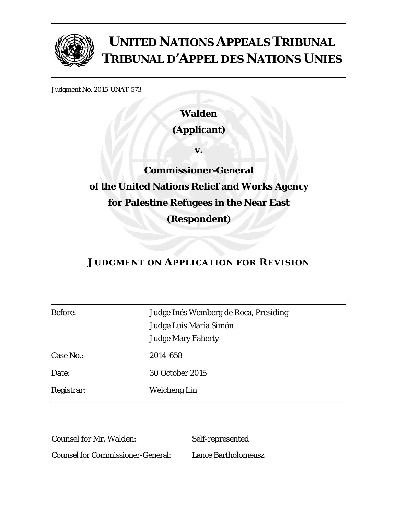

# **UNITED NATIONS APPEALS TRIBUNAL TRIBUNAL D'APPEL DES NATIONS UNIES**

Judgment No. 2015-UNAT-573

**Walden (Applicant)** 

**v.** 

**Commissioner-General of the United Nations Relief and Works Agency for Palestine Refugees in the Near East (Respondent)** 

# **JUDGMENT ON APPLICATION FOR REVISION**

| Judge Inés Weinberg de Roca, Presiding |
|----------------------------------------|
| Judge Luis María Simón                 |
| <b>Judge Mary Faherty</b>              |
| 2014-658                               |
| <b>30 October 2015</b>                 |
| Weicheng Lin                           |
|                                        |

Counsel for Mr. Walden: Self-represented Counsel for Commissioner-General: Lance Bartholomeusz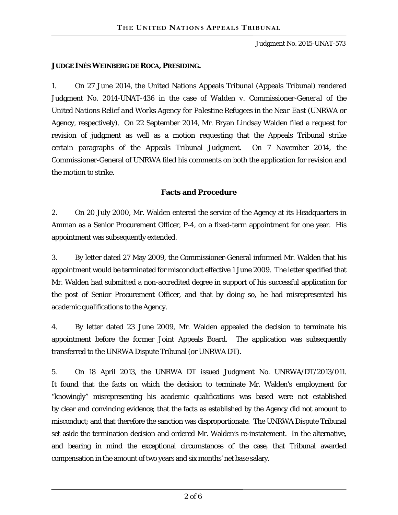#### **JUDGE INÉS WEINBERG DE ROCA, PRESIDING.**

1. On 27 June 2014, the United Nations Appeals Tribunal (Appeals Tribunal) rendered Judgment No. 2014-UNAT-436 in the case of *Walden v. Commissioner-General of the United Nations Relief and Works Agency for Palestine Refugees in the Near East* (UNRWA or Agency, respectively). On 22 September 2014, Mr. Bryan Lindsay Walden filed a request for revision of judgment as well as a motion requesting that the Appeals Tribunal strike certain paragraphs of the Appeals Tribunal Judgment. On 7 November 2014, the Commissioner-General of UNRWA filed his comments on both the application for revision and the motion to strike.

#### **Facts and Procedure**

2. On 20 July 2000, Mr. Walden entered the service of the Agency at its Headquarters in Amman as a Senior Procurement Officer, P-4, on a fixed-term appointment for one year. His appointment was subsequently extended.

3. By letter dated 27 May 2009, the Commissioner-General informed Mr. Walden that his appointment would be terminated for misconduct effective 1 June 2009. The letter specified that Mr. Walden had submitted a non-accredited degree in support of his successful application for the post of Senior Procurement Officer, and that by doing so, he had misrepresented his academic qualifications to the Agency.

4. By letter dated 23 June 2009, Mr. Walden appealed the decision to terminate his appointment before the former Joint Appeals Board. The application was subsequently transferred to the UNRWA Dispute Tribunal (or UNRWA DT).

5. On 18 April 2013, the UNRWA DT issued Judgment No. UNRWA/DT/2013/011. It found that the facts on which the decision to terminate Mr. Walden's employment for "knowingly" misrepresenting his academic qualifications was based were not established by clear and convincing evidence; that the facts as established by the Agency did not amount to misconduct; and that therefore the sanction was disproportionate. The UNRWA Dispute Tribunal set aside the termination decision and ordered Mr. Walden's re-instatement. In the alternative, and bearing in mind the exceptional circumstances of the case, that Tribunal awarded compensation in the amount of two years and six months' net base salary.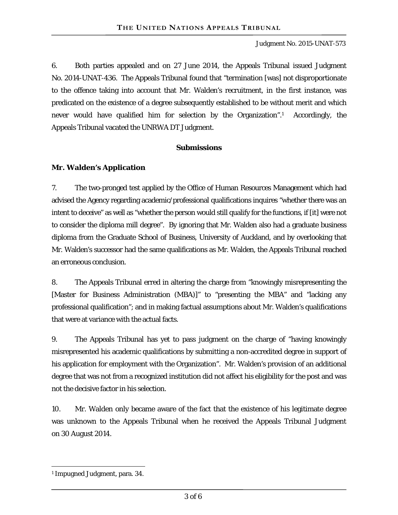6. Both parties appealed and on 27 June 2014, the Appeals Tribunal issued Judgment No. 2014-UNAT-436. The Appeals Tribunal found that "termination [was] not disproportionate to the offence taking into account that Mr. Walden's recruitment, in the first instance, was predicated on the existence of a degree subsequently established to be without merit and which never would have qualified him for selection by the Organization".1 Accordingly, the Appeals Tribunal vacated the UNRWA DT Judgment.

#### **Submissions**

#### **Mr. Walden's Application**

7. The two-pronged test applied by the Office of Human Resources Management which had advised the Agency regarding academic/professional qualifications inquires "whether there was an intent to deceive" as well as "whether the person would still qualify for the functions, if [it] were not to consider the diploma mill degree". By ignoring that Mr. Walden also had a graduate business diploma from the Graduate School of Business, University of Auckland, and by overlooking that Mr. Walden's successor had the same qualifications as Mr. Walden, the Appeals Tribunal reached an erroneous conclusion.

8. The Appeals Tribunal erred in altering the charge from "knowingly misrepresenting the [Master for Business Administration (MBA)]" to "presenting the MBA" and "lacking any professional qualification"; and in making factual assumptions about Mr. Walden's qualifications that were at variance with the actual facts.

9. The Appeals Tribunal has yet to pass judgment on the charge of "having knowingly misrepresented his academic qualifications by submitting a non-accredited degree in support of his application for employment with the Organization". Mr. Walden's provision of an additional degree that was not from a recognized institution did not affect his eligibility for the post and was not the decisive factor in his selection.

10. Mr. Walden only became aware of the fact that the existence of his legitimate degree was unknown to the Appeals Tribunal when he received the Appeals Tribunal Judgment on 30 August 2014.

 $\overline{a}$ 

<sup>1</sup> Impugned Judgment, para. 34.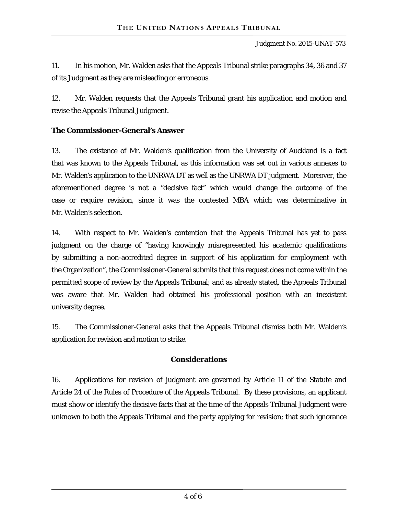11. In his motion, Mr. Walden asks that the Appeals Tribunal strike paragraphs 34, 36 and 37 of its Judgment as they are misleading or erroneous.

12. Mr. Walden requests that the Appeals Tribunal grant his application and motion and revise the Appeals Tribunal Judgment.

## **The Commissioner-General's Answer**

13. The existence of Mr. Walden's qualification from the University of Auckland is a fact that was known to the Appeals Tribunal, as this information was set out in various annexes to Mr. Walden's application to the UNRWA DT as well as the UNRWA DT judgment. Moreover, the aforementioned degree is not a "decisive fact" which would change the outcome of the case or require revision, since it was the contested MBA which was determinative in Mr. Walden's selection.

14. With respect to Mr. Walden's contention that the Appeals Tribunal has yet to pass judgment on the charge of "having knowingly misrepresented his academic qualifications by submitting a non-accredited degree in support of his application for employment with the Organization", the Commissioner-General submits that this request does not come within the permitted scope of review by the Appeals Tribunal; and as already stated, the Appeals Tribunal was aware that Mr. Walden had obtained his professional position with an inexistent university degree.

15. The Commissioner-General asks that the Appeals Tribunal dismiss both Mr. Walden's application for revision and motion to strike.

# **Considerations**

16. Applications for revision of judgment are governed by Article 11 of the Statute and Article 24 of the Rules of Procedure of the Appeals Tribunal. By these provisions, an applicant must show or identify the decisive facts that at the time of the Appeals Tribunal Judgment were unknown to both the Appeals Tribunal and the party applying for revision; that such ignorance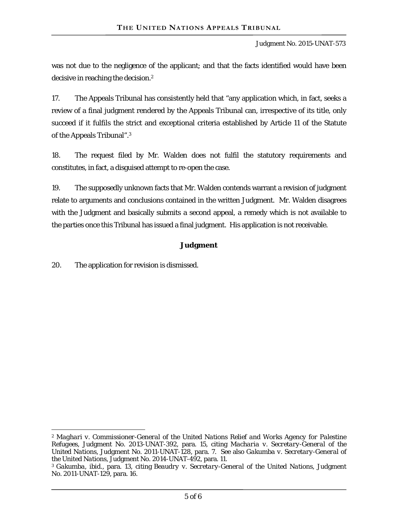Judgment No. 2015-UNAT-573

was not due to the negligence of the applicant; and that the facts identified would have been decisive in reaching the decision.2

17. The Appeals Tribunal has consistently held that "any application which, in fact, seeks a review of a final judgment rendered by the Appeals Tribunal can, irrespective of its title, only succeed if it fulfils the strict and exceptional criteria established by Article 11 of the Statute of the Appeals Tribunal".3

18. The request filed by Mr. Walden does not fulfil the statutory requirements and constitutes, in fact, a disguised attempt to re-open the case.

19. The supposedly unknown facts that Mr. Walden contends warrant a revision of judgment relate to arguments and conclusions contained in the written Judgment. Mr. Walden disagrees with the Judgment and basically submits a second appeal, a remedy which is not available to the parties once this Tribunal has issued a final judgment. His application is not receivable.

## **Judgment**

20. The application for revision is dismissed.

 $\overline{a}$ 

<sup>2</sup> *Maghari v. Commissioner-General of the United Nations Relief and Works Agency for Palestine Refugees*, Judgment No. 2013-UNAT-392, para. 15, citing *Macharia v. Secretary-General of the United Nations*, Judgment No. 2011-UNAT-128, para. 7. See also *Gakumba v. Secretary-General of the United Nations*, Judgment No. 2014-UNAT-492, para. 11.

<sup>3</sup>*Gakumba*, *ibid*., para. 13, citing *Beaudry v. Secretary-General of the United Nations,* Judgment No. 2011-UNAT-129, para. 16.